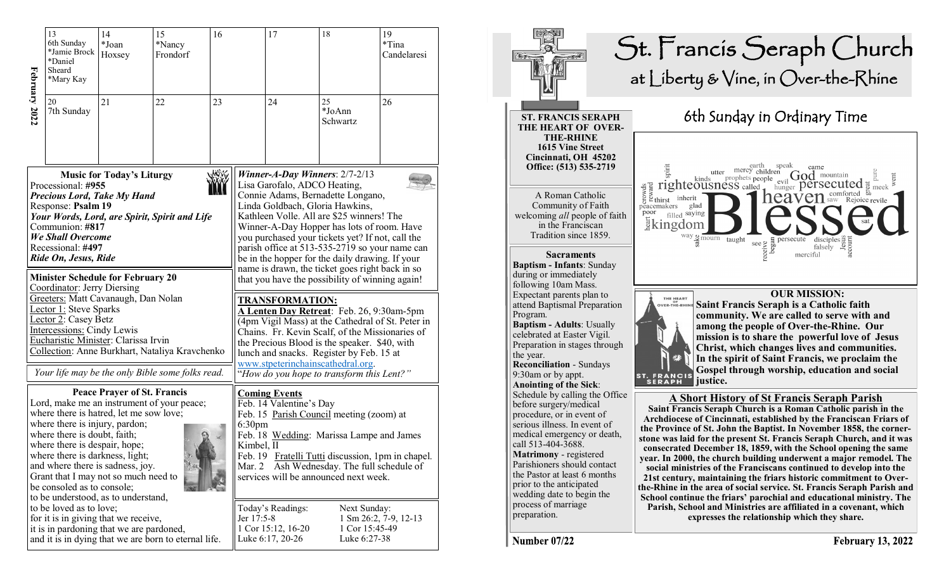| February 2022 | 13<br>6th Sunday<br>*Jamie Brock<br>*Daniel<br>Sheard<br>*Mary Kay                                                                                                                                                                                                                                      | 14<br>*Joan<br>Hoxsey              | 15<br>*Nancy<br>Frondorf                                                                                                                                                                                                                                                                                                                                                                                                                                                                                                                                                                                                                                                                                                                                                                                                                                                                                                                                                                                                                                                              | 16 |                                            | 17                                                          | 18                                                                                                                                                                                                                        | 19<br>*Tina<br>Candelaresi |
|---------------|---------------------------------------------------------------------------------------------------------------------------------------------------------------------------------------------------------------------------------------------------------------------------------------------------------|------------------------------------|---------------------------------------------------------------------------------------------------------------------------------------------------------------------------------------------------------------------------------------------------------------------------------------------------------------------------------------------------------------------------------------------------------------------------------------------------------------------------------------------------------------------------------------------------------------------------------------------------------------------------------------------------------------------------------------------------------------------------------------------------------------------------------------------------------------------------------------------------------------------------------------------------------------------------------------------------------------------------------------------------------------------------------------------------------------------------------------|----|--------------------------------------------|-------------------------------------------------------------|---------------------------------------------------------------------------------------------------------------------------------------------------------------------------------------------------------------------------|----------------------------|
|               | 20<br>7th Sunday                                                                                                                                                                                                                                                                                        | 21                                 | 22                                                                                                                                                                                                                                                                                                                                                                                                                                                                                                                                                                                                                                                                                                                                                                                                                                                                                                                                                                                                                                                                                    | 23 |                                            | 24                                                          | 25<br>*JoAnn<br>Schwartz                                                                                                                                                                                                  | 26                         |
|               | Processional: #955<br><b>Precious Lord, Take My Hand</b><br>Response: Psalm 19<br>Communion: #817<br><b>We Shall Overcome</b><br>Recessional: #497<br>Ride On, Jesus, Ride<br>Coordinator: Jerry Diersing<br><b>Lector 1: Steve Sparks</b><br>Lector 2: Casey Betz<br><b>Intercessions: Cindy Lewis</b> |                                    | Winner-A-Day Winners: $2/7-2/13$<br><b>Music for Today's Liturgy</b><br>Lisa Garofalo, ADCO Heating,<br>Connie Adams, Bernadette Longano,<br>Linda Goldbach, Gloria Hawkins,<br>Your Words, Lord, are Spirit, Spirit and Life<br>Kathleen Volle. All are \$25 winners! The<br>Winner-A-Day Hopper has lots of room. Have<br>you purchased your tickets yet? If not, call the<br>parish office at 513-535-2719 so your name can<br>be in the hopper for the daily drawing. If your<br>name is drawn, the ticket goes right back in so<br><b>Minister Schedule for February 20</b><br>that you have the possibility of winning again!<br>Greeters: Matt Cavanaugh, Dan Nolan<br><u>TRANSFORMATION:</u><br>A Lenten Day Retreat: Feb. 26, 9:30am-5pm<br>(4pm Vigil Mass) at the Cathedral of St. Peter in<br>Chains. Fr. Kevin Scalf, of the Missionaries of<br>Eucharistic Minister: Clarissa Irvin<br>the Precious Blood is the speaker. \$40, with<br>Collection: Anne Burkhart, Nataliya Kravchenko<br>lunch and snacks. Register by Feb. 15 at<br>www.stpeterinchainscathedral.org. |    |                                            |                                                             |                                                                                                                                                                                                                           |                            |
|               |                                                                                                                                                                                                                                                                                                         |                                    | Your life may be the only Bible some folks read.                                                                                                                                                                                                                                                                                                                                                                                                                                                                                                                                                                                                                                                                                                                                                                                                                                                                                                                                                                                                                                      |    |                                            |                                                             | "How do you hope to transform this Lent?"                                                                                                                                                                                 |                            |
|               | where there is hatred, let me sow love;<br>where there is injury, pardon;<br>where there is doubt, faith;<br>where there is despair, hope;<br>where there is darkness, light;<br>and where there is sadness, joy.<br>Grant that I may not so much need to<br>be consoled as to console;                 | <b>Peace Prayer of St. Francis</b> | Lord, make me an instrument of your peace;                                                                                                                                                                                                                                                                                                                                                                                                                                                                                                                                                                                                                                                                                                                                                                                                                                                                                                                                                                                                                                            |    | 6:30 <sub>pm</sub><br>Kimbel, II<br>Mar. 2 | <b>Coming Events</b><br>Feb. 14 Valentine's Day             | Feb. 15 Parish Council meeting (zoom) at<br>Feb. 18 Wedding: Marissa Lampe and James<br>Feb. 19 Fratelli Tutti discussion, 1pm in chapel.<br>Ash Wednesday. The full schedule of<br>services will be announced next week. |                            |
|               | to be understood, as to understand,<br>to be loved as to love;<br>for it is in giving that we receive,<br>it is in pardoning that we are pardoned,                                                                                                                                                      |                                    | and it is in dying that we are born to eternal life.                                                                                                                                                                                                                                                                                                                                                                                                                                                                                                                                                                                                                                                                                                                                                                                                                                                                                                                                                                                                                                  |    | Jer 17:5-8                                 | Today's Readings:<br>1 Cor 15:12, 16-20<br>Luke 6:17, 20-26 | Next Sunday:<br>1 Cor 15:45-49<br>Luke 6:27-38                                                                                                                                                                            | 1 Sm 26:2, 7-9, 12-13      |